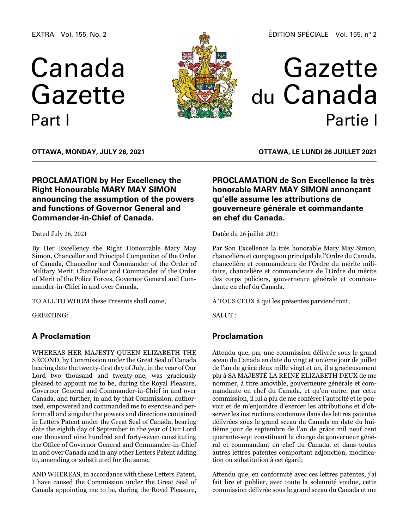EXTRA Vol. 155, No. 2

# Canada Gazette Part I



## Gazette du Canada Partie I

**OTTAWA, Monday, July 26, 2021**

## **PROCLAMATION by Her Excellency the Right Honourable MARY MAY SIMON announcing the assumption of the powers and functions of Governor General and Commander-in-Chief of Canada.**

Dated July 26, 2021

By Her Excellency the Right Honourable Mary May Simon, Chancellor and Principal Companion of the Order of Canada, Chancellor and Commander of the Order of Military Merit, Chancellor and Commander of the Order of Merit of the Police Forces, Governor General and Commander-in-Chief in and over Canada.

TO ALL TO WHOM these Presents shall come,

GREETING:

## **A Proclamation**

WHEREAS HER MAJESTY QUEEN ELIZABETH THE SECOND, by Commission under the Great Seal of Canada bearing date the twenty-first day of July, in the year of Our Lord two thousand and twenty-one, was graciously pleased to appoint me to be, during the Royal Pleasure, Governor General and Commander-in-Chief in and over Canada, and further, in and by that Commission, authorized, empowered and commanded me to exercise and perform all and singular the powers and directions contained in Letters Patent under the Great Seal of Canada, bearing date the eighth day of September in the year of Our Lord one thousand nine hundred and forty-seven constituting the Office of Governor General and Commander-in-Chief in and over Canada and in any other Letters Patent adding to, amending or substituted for the same.

AND WHEREAS, in accordance with these Letters Patent, I have caused the Commission under the Great Seal of Canada appointing me to be, during the Royal Pleasure,

**OTTAWA, LE lundi 26 juillet 2021**

## **PROCLAMATION de Son Excellence la très honorable MARY MAY SIMON annonçant qu'elle assume les attributions de gouverneure générale et commandante en chef du Canada.**

Datée du 26 juillet 2021

Par Son Excellence la très honorable Mary May Simon, chancelière et compagnon principal de l'Ordre du Canada, chancelière et commandeure de l'Ordre du mérite militaire, chancelière et commandeure de l'Ordre du mérite des corps policiers, gouverneure générale et commandante en chef du Canada.

À TOUS CEUX à qui les présentes parviendront,

SALUT :

## **Proclamation**

Attendu que, par une commission délivrée sous le grand sceau du Canada en date du vingt et unième jour de juillet de l'an de grâce deux mille vingt et un, il a gracieusement plu à SA MAJESTÉ LA REINE ELIZABETH DEUX de me nommer, à titre amovible, gouverneure générale et commandante en chef du Canada, et qu'en outre, par cette commission, il lui a plu de me conférer l'autorité et le pouvoir et de m'enjoindre d'exercer les attributions et d'observer les instructions contenues dans des lettres patentes délivrées sous le grand sceau du Canada en date du huitième jour de septembre de l'an de grâce mil neuf cent quarante-sept constituant la charge de gouverneur général et commandant en chef du Canada, et dans toutes autres lettres patentes comportant adjonction, modification ou substitution à cet égard;

Attendu que, en conformité avec ces lettres patentes, j'ai fait lire et publier, avec toute la solennité voulue, cette commission délivrée sous le grand sceau du Canada et me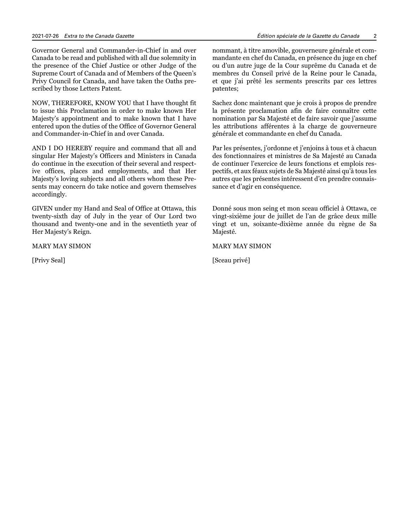Governor General and Commander-in-Chief in and over Canada to be read and published with all due solemnity in the presence of the Chief Justice or other Judge of the Supreme Court of Canada and of Members of the Queen's Privy Council for Canada, and have taken the Oaths prescribed by those Letters Patent.

NOW, THEREFORE, KNOW YOU that I have thought fit to issue this Proclamation in order to make known Her Majesty's appointment and to make known that I have entered upon the duties of the Office of Governor General and Commander-in-Chief in and over Canada.

AND I DO HEREBY require and command that all and singular Her Majesty's Officers and Ministers in Canada do continue in the execution of their several and respective offices, places and employments, and that Her Majesty's loving subjects and all others whom these Presents may concern do take notice and govern themselves accordingly.

GIVEN under my Hand and Seal of Office at Ottawa, this twenty-sixth day of July in the year of Our Lord two thousand and twenty-one and in the seventieth year of Her Majesty's Reign.

MARY MAY SIMON

[Privy Seal]

nommant, à titre amovible, gouverneure générale et commandante en chef du Canada, en présence du juge en chef ou d'un autre juge de la Cour suprême du Canada et de membres du Conseil privé de la Reine pour le Canada, et que j'ai prêté les serments prescrits par ces lettres patentes;

Sachez donc maintenant que je crois à propos de prendre la présente proclamation afin de faire connaître cette nomination par Sa Majesté et de faire savoir que j'assume les attributions afférentes à la charge de gouverneure générale et commandante en chef du Canada.

Par les présentes, j'ordonne et j'enjoins à tous et à chacun des fonctionnaires et ministres de Sa Majesté au Canada de continuer l'exercice de leurs fonctions et emplois respectifs, et aux féaux sujets de Sa Majesté ainsi qu'à tous les autres que les présentes intéressent d'en prendre connaissance et d'agir en conséquence.

Donné sous mon seing et mon sceau officiel à Ottawa, ce vingt-sixième jour de juillet de l'an de grâce deux mille vingt et un, soixante-dixième année du règne de Sa Majesté.

MARY MAY SIMON

[Sceau privé]